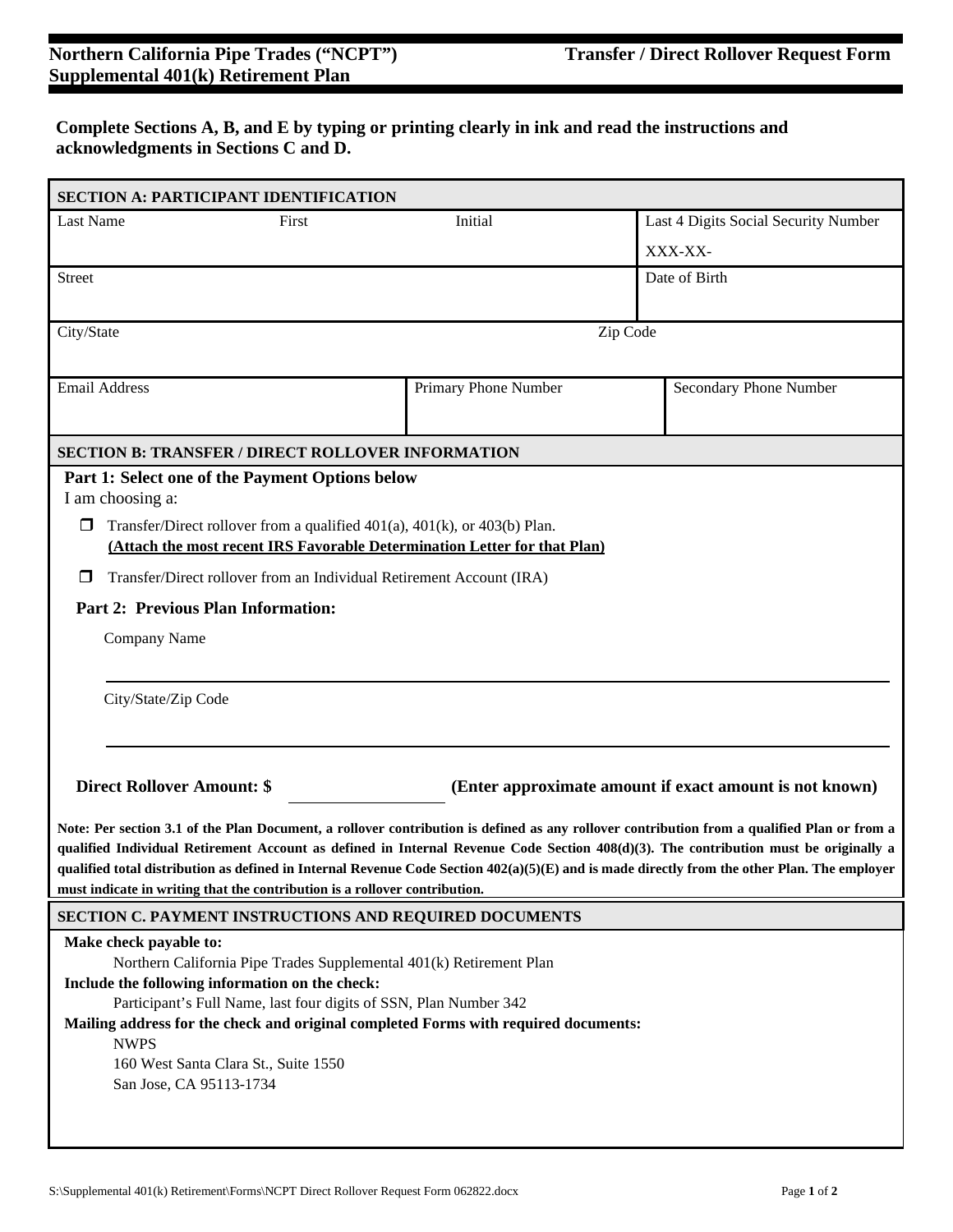# **Northern California Pipe Trades ("NCPT") Transfer / Direct Rollover Request Form Supplemental 401(k) Retirement Plan**

**Complete Sections A, B, and E by typing or printing clearly in ink and read the instructions and acknowledgments in Sections C and D.**

| <b>SECTION A: PARTICIPANT IDENTIFICATION</b>                                                                                                                                                                                                                                                                                                                                                                                                                                                                           |                                      |                                                                                                                                                                                                                                 |                                                         |
|------------------------------------------------------------------------------------------------------------------------------------------------------------------------------------------------------------------------------------------------------------------------------------------------------------------------------------------------------------------------------------------------------------------------------------------------------------------------------------------------------------------------|--------------------------------------|---------------------------------------------------------------------------------------------------------------------------------------------------------------------------------------------------------------------------------|---------------------------------------------------------|
| Last Name                                                                                                                                                                                                                                                                                                                                                                                                                                                                                                              | First                                | Initial                                                                                                                                                                                                                         | Last 4 Digits Social Security Number                    |
|                                                                                                                                                                                                                                                                                                                                                                                                                                                                                                                        |                                      |                                                                                                                                                                                                                                 | XXX-XX-                                                 |
| <b>Street</b>                                                                                                                                                                                                                                                                                                                                                                                                                                                                                                          |                                      |                                                                                                                                                                                                                                 | Date of Birth                                           |
|                                                                                                                                                                                                                                                                                                                                                                                                                                                                                                                        |                                      |                                                                                                                                                                                                                                 |                                                         |
| Zip Code<br>City/State                                                                                                                                                                                                                                                                                                                                                                                                                                                                                                 |                                      |                                                                                                                                                                                                                                 |                                                         |
|                                                                                                                                                                                                                                                                                                                                                                                                                                                                                                                        |                                      |                                                                                                                                                                                                                                 |                                                         |
| <b>Email Address</b>                                                                                                                                                                                                                                                                                                                                                                                                                                                                                                   |                                      | Primary Phone Number                                                                                                                                                                                                            | Secondary Phone Number                                  |
|                                                                                                                                                                                                                                                                                                                                                                                                                                                                                                                        |                                      |                                                                                                                                                                                                                                 |                                                         |
| <b>SECTION B: TRANSFER / DIRECT ROLLOVER INFORMATION</b>                                                                                                                                                                                                                                                                                                                                                                                                                                                               |                                      |                                                                                                                                                                                                                                 |                                                         |
| Part 1: Select one of the Payment Options below                                                                                                                                                                                                                                                                                                                                                                                                                                                                        |                                      |                                                                                                                                                                                                                                 |                                                         |
| I am choosing a:                                                                                                                                                                                                                                                                                                                                                                                                                                                                                                       |                                      |                                                                                                                                                                                                                                 |                                                         |
| Transfer/Direct rollover from a qualified $401(a)$ , $401(k)$ , or $403(b)$ Plan.<br>$\Box$<br>(Attach the most recent IRS Favorable Determination Letter for that Plan)                                                                                                                                                                                                                                                                                                                                               |                                      |                                                                                                                                                                                                                                 |                                                         |
| Transfer/Direct rollover from an Individual Retirement Account (IRA)<br>$\Box$                                                                                                                                                                                                                                                                                                                                                                                                                                         |                                      |                                                                                                                                                                                                                                 |                                                         |
| <b>Part 2: Previous Plan Information:</b>                                                                                                                                                                                                                                                                                                                                                                                                                                                                              |                                      |                                                                                                                                                                                                                                 |                                                         |
| Company Name                                                                                                                                                                                                                                                                                                                                                                                                                                                                                                           |                                      |                                                                                                                                                                                                                                 |                                                         |
|                                                                                                                                                                                                                                                                                                                                                                                                                                                                                                                        |                                      |                                                                                                                                                                                                                                 |                                                         |
| City/State/Zip Code                                                                                                                                                                                                                                                                                                                                                                                                                                                                                                    |                                      |                                                                                                                                                                                                                                 |                                                         |
|                                                                                                                                                                                                                                                                                                                                                                                                                                                                                                                        |                                      |                                                                                                                                                                                                                                 |                                                         |
| <b>Direct Rollover Amount: \$</b>                                                                                                                                                                                                                                                                                                                                                                                                                                                                                      |                                      |                                                                                                                                                                                                                                 | (Enter approximate amount if exact amount is not known) |
| Note: Per section 3.1 of the Plan Document, a rollover contribution is defined as any rollover contribution from a qualified Plan or from a<br>qualified Individual Retirement Account as defined in Internal Revenue Code Section $408(d)(3)$ . The contribution must be originally a<br>qualified total distribution as defined in Internal Revenue Code Section $402(a)(5)(E)$ and is made directly from the other Plan. The employer<br>must indicate in writing that the contribution is a rollover contribution. |                                      |                                                                                                                                                                                                                                 |                                                         |
| <b>SECTION C. PAYMENT INSTRUCTIONS AND REQUIRED DOCUMENTS</b>                                                                                                                                                                                                                                                                                                                                                                                                                                                          |                                      |                                                                                                                                                                                                                                 |                                                         |
| Make check payable to:<br>Include the following information on the check:<br><b>NWPS</b><br>San Jose, CA 95113-1734                                                                                                                                                                                                                                                                                                                                                                                                    | 160 West Santa Clara St., Suite 1550 | Northern California Pipe Trades Supplemental 401(k) Retirement Plan<br>Participant's Full Name, last four digits of SSN, Plan Number 342<br>Mailing address for the check and original completed Forms with required documents: |                                                         |
|                                                                                                                                                                                                                                                                                                                                                                                                                                                                                                                        |                                      |                                                                                                                                                                                                                                 |                                                         |